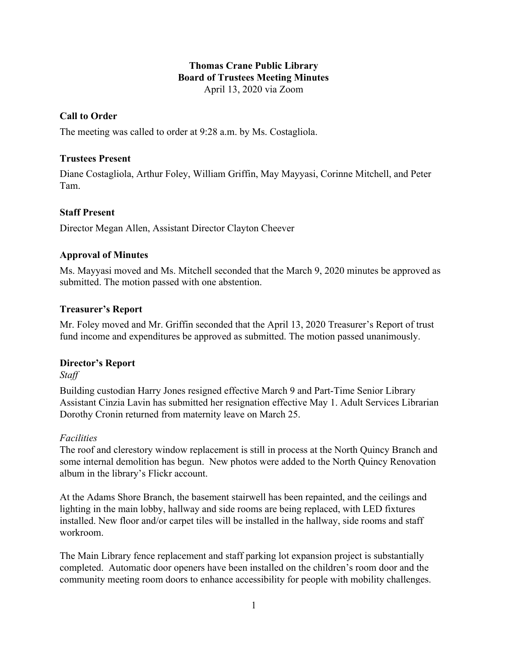## **Thomas Crane Public Library Board of Trustees Meeting Minutes** April 13, 2020 via Zoom

# **Call to Order**

The meeting was called to order at 9:28 a.m. by Ms. Costagliola.

## **Trustees Present**

Diane Costagliola, Arthur Foley, William Griffin, May Mayyasi, Corinne Mitchell, and Peter Tam.

# **Staff Present**

Director Megan Allen, Assistant Director Clayton Cheever

# **Approval of Minutes**

Ms. Mayyasi moved and Ms. Mitchell seconded that the March 9, 2020 minutes be approved as submitted. The motion passed with one abstention.

# **Treasurer's Report**

Mr. Foley moved and Mr. Griffin seconded that the April 13, 2020 Treasurer's Report of trust fund income and expenditures be approved as submitted. The motion passed unanimously.

## **Director's Report**

*Staff*

Building custodian Harry Jones resigned effective March 9 and Part-Time Senior Library Assistant Cinzia Lavin has submitted her resignation effective May 1. Adult Services Librarian Dorothy Cronin returned from maternity leave on March 25.

## *Facilities*

The roof and clerestory window replacement is still in process at the North Quincy Branch and some internal demolition has begun. New photos were added to the North Quincy Renovation album in the library's Flickr account.

At the Adams Shore Branch, the basement stairwell has been repainted, and the ceilings and lighting in the main lobby, hallway and side rooms are being replaced, with LED fixtures installed. New floor and/or carpet tiles will be installed in the hallway, side rooms and staff workroom.

The Main Library fence replacement and staff parking lot expansion project is substantially completed. Automatic door openers have been installed on the children's room door and the community meeting room doors to enhance accessibility for people with mobility challenges.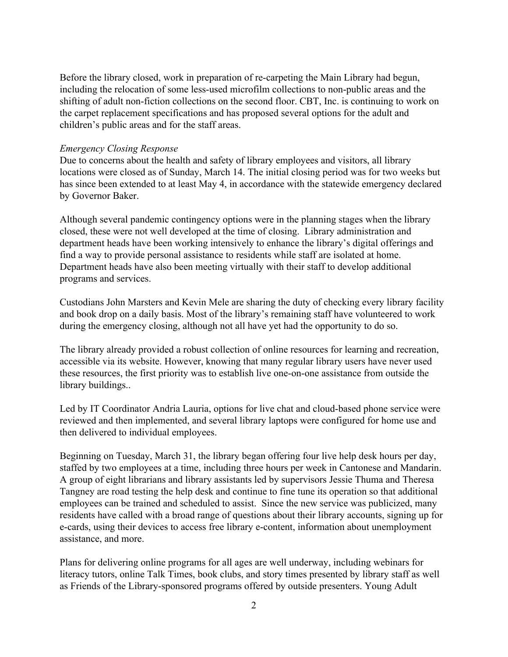Before the library closed, work in preparation of re-carpeting the Main Library had begun, including the relocation of some less-used microfilm collections to non-public areas and the shifting of adult non-fiction collections on the second floor. CBT, Inc. is continuing to work on the carpet replacement specifications and has proposed several options for the adult and children's public areas and for the staff areas.

#### *Emergency Closing Response*

Due to concerns about the health and safety of library employees and visitors, all library locations were closed as of Sunday, March 14. The initial closing period was for two weeks but has since been extended to at least May 4, in accordance with the statewide emergency declared by Governor Baker.

Although several pandemic contingency options were in the planning stages when the library closed, these were not well developed at the time of closing. Library administration and department heads have been working intensively to enhance the library's digital offerings and find a way to provide personal assistance to residents while staff are isolated at home. Department heads have also been meeting virtually with their staff to develop additional programs and services.

Custodians John Marsters and Kevin Mele are sharing the duty of checking every library facility and book drop on a daily basis. Most of the library's remaining staff have volunteered to work during the emergency closing, although not all have yet had the opportunity to do so.

The library already provided a robust collection of online resources for learning and recreation, accessible via its website. However, knowing that many regular library users have never used these resources, the first priority was to establish live one-on-one assistance from outside the library buildings..

Led by IT Coordinator Andria Lauria, options for live chat and cloud-based phone service were reviewed and then implemented, and several library laptops were configured for home use and then delivered to individual employees.

Beginning on Tuesday, March 31, the library began offering four live help desk hours per day, staffed by two employees at a time, including three hours per week in Cantonese and Mandarin. A group of eight librarians and library assistants led by supervisors Jessie Thuma and Theresa Tangney are road testing the help desk and continue to fine tune its operation so that additional employees can be trained and scheduled to assist. Since the new service was publicized, many residents have called with a broad range of questions about their library accounts, signing up for e-cards, using their devices to access free library e-content, information about unemployment assistance, and more.

Plans for delivering online programs for all ages are well underway, including webinars for literacy tutors, online Talk Times, book clubs, and story times presented by library staff as well as Friends of the Library-sponsored programs offered by outside presenters. Young Adult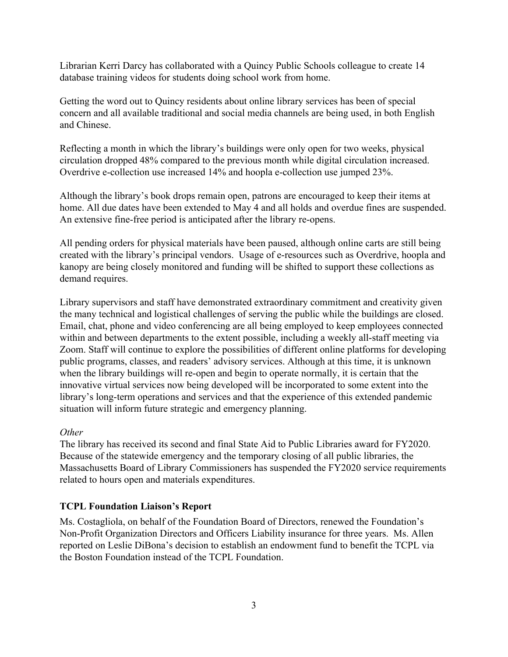Librarian Kerri Darcy has collaborated with a Quincy Public Schools colleague to create 14 database training videos for students doing school work from home.

Getting the word out to Quincy residents about online library services has been of special concern and all available traditional and social media channels are being used, in both English and Chinese.

Reflecting a month in which the library's buildings were only open for two weeks, physical circulation dropped 48% compared to the previous month while digital circulation increased. Overdrive e-collection use increased 14% and hoopla e-collection use jumped 23%.

Although the library's book drops remain open, patrons are encouraged to keep their items at home. All due dates have been extended to May 4 and all holds and overdue fines are suspended. An extensive fine-free period is anticipated after the library re-opens.

All pending orders for physical materials have been paused, although online carts are still being created with the library's principal vendors. Usage of e-resources such as Overdrive, hoopla and kanopy are being closely monitored and funding will be shifted to support these collections as demand requires.

Library supervisors and staff have demonstrated extraordinary commitment and creativity given the many technical and logistical challenges of serving the public while the buildings are closed. Email, chat, phone and video conferencing are all being employed to keep employees connected within and between departments to the extent possible, including a weekly all-staff meeting via Zoom. Staff will continue to explore the possibilities of different online platforms for developing public programs, classes, and readers' advisory services. Although at this time, it is unknown when the library buildings will re-open and begin to operate normally, it is certain that the innovative virtual services now being developed will be incorporated to some extent into the library's long-term operations and services and that the experience of this extended pandemic situation will inform future strategic and emergency planning.

## *Other*

The library has received its second and final State Aid to Public Libraries award for FY2020. Because of the statewide emergency and the temporary closing of all public libraries, the Massachusetts Board of Library Commissioners has suspended the FY2020 service requirements related to hours open and materials expenditures.

## **TCPL Foundation Liaison's Report**

Ms. Costagliola, on behalf of the Foundation Board of Directors, renewed the Foundation's Non-Profit Organization Directors and Officers Liability insurance for three years. Ms. Allen reported on Leslie DiBona's decision to establish an endowment fund to benefit the TCPL via the Boston Foundation instead of the TCPL Foundation.